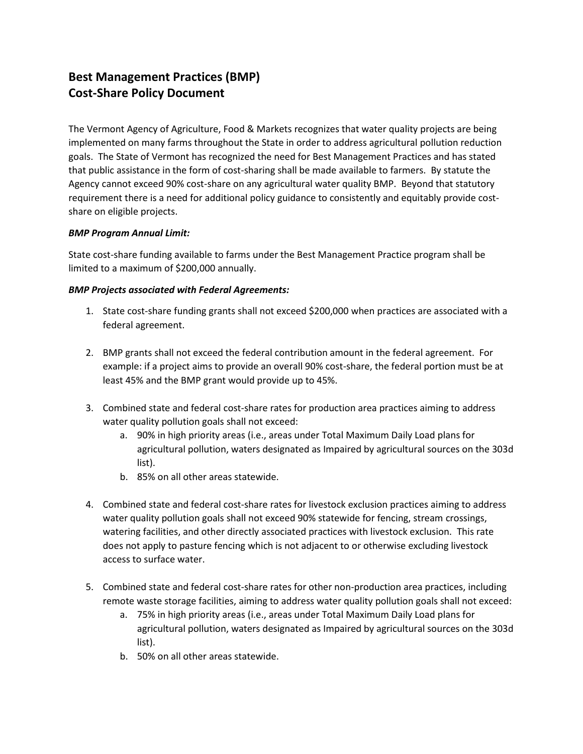## **Best Management Practices (BMP) Cost-Share Policy Document**

The Vermont Agency of Agriculture, Food & Markets recognizes that water quality projects are being implemented on many farms throughout the State in order to address agricultural pollution reduction goals. The State of Vermont has recognized the need for Best Management Practices and has stated that public assistance in the form of cost-sharing shall be made available to farmers. By statute the Agency cannot exceed 90% cost-share on any agricultural water quality BMP. Beyond that statutory requirement there is a need for additional policy guidance to consistently and equitably provide costshare on eligible projects.

## *BMP Program Annual Limit:*

State cost-share funding available to farms under the Best Management Practice program shall be limited to a maximum of \$200,000 annually.

## *BMP Projects associated with Federal Agreements:*

- 1. State cost-share funding grants shall not exceed \$200,000 when practices are associated with a federal agreement.
- 2. BMP grants shall not exceed the federal contribution amount in the federal agreement. For example: if a project aims to provide an overall 90% cost-share, the federal portion must be at least 45% and the BMP grant would provide up to 45%.
- 3. Combined state and federal cost-share rates for production area practices aiming to address water quality pollution goals shall not exceed:
	- a. 90% in high priority areas (i.e., areas under Total Maximum Daily Load plans for agricultural pollution, waters designated as Impaired by agricultural sources on the 303d list).
	- b. 85% on all other areas statewide.
- 4. Combined state and federal cost-share rates for livestock exclusion practices aiming to address water quality pollution goals shall not exceed 90% statewide for fencing, stream crossings, watering facilities, and other directly associated practices with livestock exclusion. This rate does not apply to pasture fencing which is not adjacent to or otherwise excluding livestock access to surface water.
- 5. Combined state and federal cost-share rates for other non-production area practices, including remote waste storage facilities, aiming to address water quality pollution goals shall not exceed:
	- a. 75% in high priority areas (i.e., areas under Total Maximum Daily Load plans for agricultural pollution, waters designated as Impaired by agricultural sources on the 303d list).
	- b. 50% on all other areas statewide.